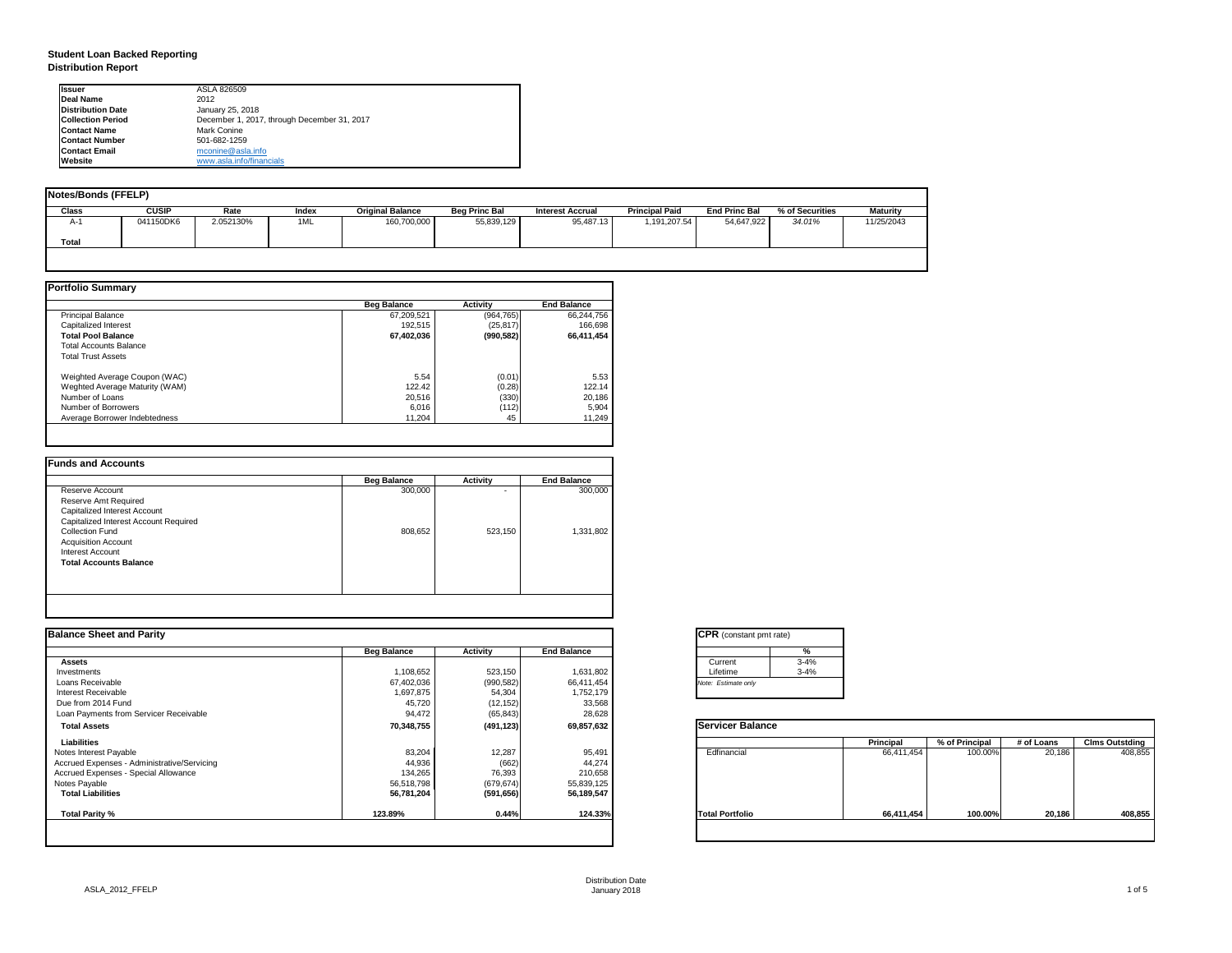# **Student Loan Backed Reporting Distribution Report**

| <b>Notes/Bonds (FFELP)</b> |              |           |       |                         |                      |                         |                       |                      |                 |            |
|----------------------------|--------------|-----------|-------|-------------------------|----------------------|-------------------------|-----------------------|----------------------|-----------------|------------|
| <b>Class</b>               | <b>CUSIP</b> | Rate      | Index | <b>Original Balance</b> | <b>Beg Princ Bal</b> | <b>Interest Accrual</b> | <b>Principal Paid</b> | <b>End Princ Bal</b> | % of Securities | Maturity   |
| A-1                        | 041150DK6    | 2.052130% | 1ML   | 160,700,000             | 55,839,129           | 95,487.13               | 1,191,207.54          | 54,647,922           | 34.01%          | 11/25/2043 |
| Total                      |              |           |       |                         |                      |                         |                       |                      |                 |            |
|                            |              |           |       |                         |                      |                         |                       |                      |                 |            |

|                                | <b>Beg Balance</b> | <b>Activity</b> | <b>End Balance</b> |
|--------------------------------|--------------------|-----------------|--------------------|
| <b>Principal Balance</b>       | 67,209,521         | (964, 765)      | 66,244,756         |
| Capitalized Interest           | 192,515            | (25, 817)       | 166,698            |
| <b>Total Pool Balance</b>      | 67,402,036         | (990, 582)      | 66,411,454         |
| <b>Total Accounts Balance</b>  |                    |                 |                    |
| <b>Total Trust Assets</b>      |                    |                 |                    |
| Weighted Average Coupon (WAC)  | 5.54               | (0.01)          | 5.53               |
| Weghted Average Maturity (WAM) | 122.42             | (0.28)          | 122.14             |
| Number of Loans                | 20,516             | (330)           | 20,186             |
| Number of Borrowers            | 6,016              | (112)           | 5,904              |
| Average Borrower Indebtedness  | 11,204             | 45              | 11,249             |

|                                       | <b>Beg Balance</b> | <b>Activity</b>          | <b>End Balance</b> |
|---------------------------------------|--------------------|--------------------------|--------------------|
| Reserve Account                       | 300,000            | $\overline{\phantom{0}}$ | 300,000            |
| <b>Reserve Amt Required</b>           |                    |                          |                    |
| <b>Capitalized Interest Account</b>   |                    |                          |                    |
| Capitalized Interest Account Required |                    |                          |                    |
| <b>Collection Fund</b>                | 808,652            | 523,150                  | 1,331,802          |
| <b>Acquisition Account</b>            |                    |                          |                    |
| <b>Interest Account</b>               |                    |                          |                    |
| <b>Total Accounts Balance</b>         |                    |                          |                    |
|                                       |                    |                          |                    |
|                                       |                    |                          |                    |

| <b>Ilssuer</b>           | ASLA 826509                                 |
|--------------------------|---------------------------------------------|
| Deal Name                | 2012                                        |
| <b>Distribution Date</b> | January 25, 2018                            |
| <b>Collection Period</b> | December 1, 2017, through December 31, 2017 |
| <b>Contact Name</b>      | <b>Mark Conine</b>                          |
| <b>Contact Number</b>    | 501-682-1259                                |
| <b>Contact Email</b>     | mconine@asla.info                           |
| <b>IWebsite</b>          | www.asla.info/financials                    |

| <b>Beg Balance</b> | <b>Activity</b> | <b>End Balance</b> |                        | %        |                                                           |                |            |                       |
|--------------------|-----------------|--------------------|------------------------|----------|-----------------------------------------------------------|----------------|------------|-----------------------|
|                    |                 |                    | Current                | $3 - 4%$ |                                                           |                |            |                       |
| 1,108,652          | 523,150         | 1,631,802          | Lifetime               | $3 - 4%$ |                                                           |                |            |                       |
| 67,402,036         | (990, 582)      | 66,411,454         | Note: Estimate only    |          |                                                           |                |            |                       |
| 1,697,875          | 54,304          | 1,752,179          |                        |          |                                                           |                |            |                       |
| 45,720             |                 |                    |                        |          |                                                           |                |            |                       |
| 94,472             | (65, 843)       | 28,628             |                        |          |                                                           |                |            |                       |
| 70,348,755         | (491, 123)      | 69,857,632         |                        |          |                                                           |                |            |                       |
|                    |                 |                    |                        |          | <b>Principal</b>                                          | % of Principal | # of Loans | <b>Clms Outstding</b> |
| 83,204             | 12,287          | 95,491             | Edfinancial            |          | 66,411,454                                                | 100.00%        | 20,186     | 408,855               |
| 44,936             | (662)           | 44,274             |                        |          |                                                           |                |            |                       |
| 134,265            | 76,393          | 210,658            |                        |          |                                                           |                |            |                       |
| 56,518,798         | (679, 674)      | 55,839,125         |                        |          |                                                           |                |            |                       |
| 56,781,204         | (591, 656)      | 56,189,547         |                        |          |                                                           |                |            |                       |
| 123.89%            | 0.44%           | 124.33%            | <b>Total Portfolio</b> |          | 66,411,454                                                | 100.00%        | 20,186     | 408,855               |
|                    |                 | (12, 152)          | 33,568                 |          | <b>CPR</b> (constant pmt rate)<br><b>Servicer Balance</b> |                |            |                       |

| IGPR (con |         |
|-----------|---------|
|           |         |
|           | Current |

| tant pmt rate) |          |
|----------------|----------|
|                | %        |
|                | $3 - 4%$ |
|                | $3 - 4%$ |
| only !         |          |

|      | <b>Principal</b> | % of Principal | # of Loans | <b>Clms Outstding</b> |
|------|------------------|----------------|------------|-----------------------|
| al   | 66,411,454       | 100.00%        | 20,186     | 408,855               |
| oilc | 66,411,454       | 100.00%        | 20,186     | 408,855               |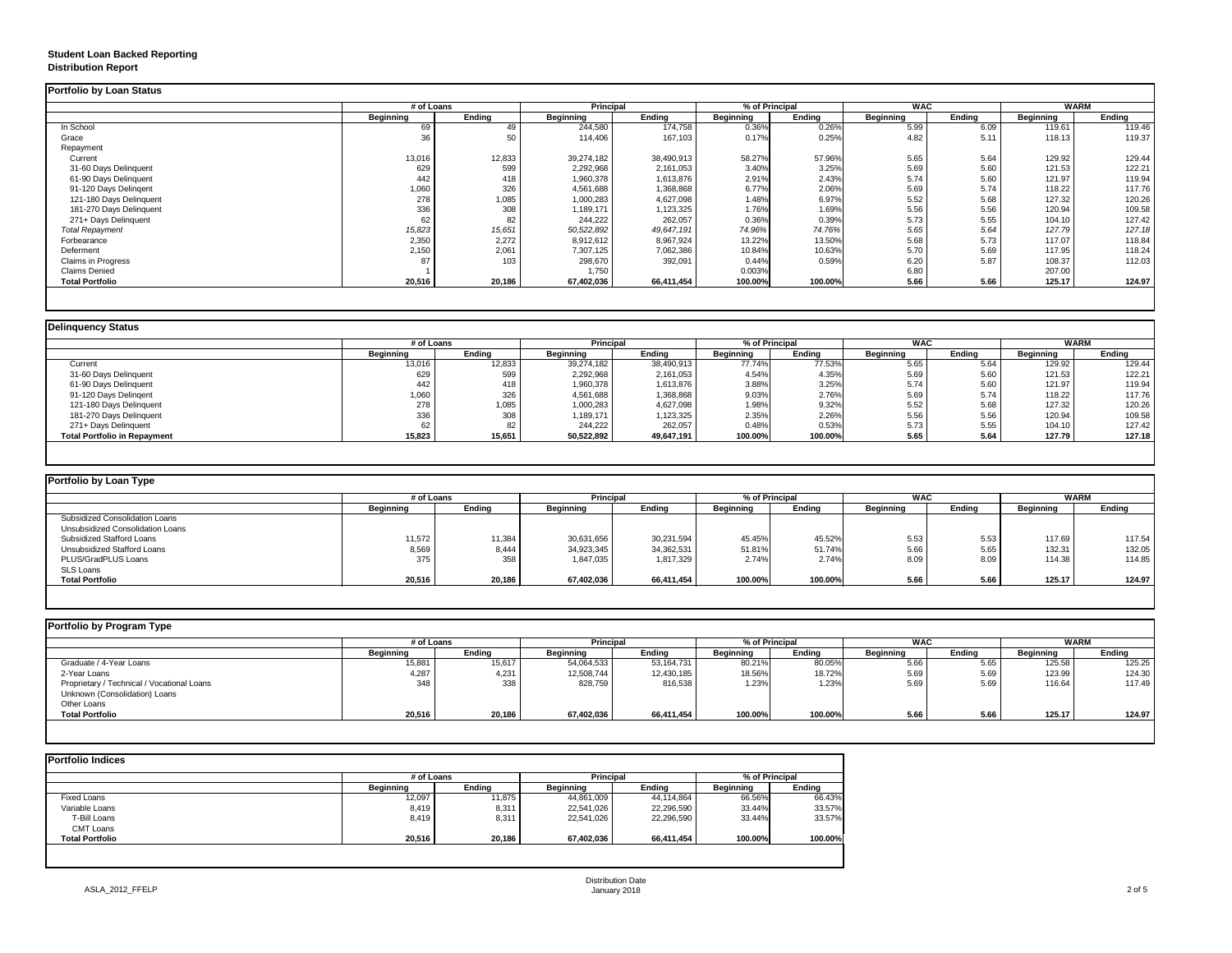# **Student Loan Backed Reporting Distribution Report**

|                           | # of Loans       |               | <b>Principal</b> |               | % of Principal   |               | <b>WAC</b>       |               | <b>WARM</b>      |               |
|---------------------------|------------------|---------------|------------------|---------------|------------------|---------------|------------------|---------------|------------------|---------------|
|                           | <b>Beginning</b> | <b>Ending</b> | <b>Beginning</b> | <b>Ending</b> | <b>Beginning</b> | <b>Ending</b> | <b>Beginning</b> | <b>Ending</b> | <b>Beginning</b> | <b>Ending</b> |
| In School                 | 69               | 49            | 244,580          | 174,758       | 0.36%            | 0.26%         | 5.99             | 6.09          | 119.61           | 119.46        |
| Grace                     | 36               | 50            | 114,406          | 167,103       | 0.17%            | 0.25%         | 4.82             | 5.11          | 118.13           | 119.37        |
| Repayment                 |                  |               |                  |               |                  |               |                  |               |                  |               |
| Current                   | 13,016           | 12,833        | 39,274,182       | 38,490,913    | 58.27%           | 57.96%        | 5.65             | 5.64          | 129.92           | 129.44        |
| 31-60 Days Delinquent     | 629              | 599           | 2,292,968        | 2,161,053     | 3.40%            | 3.25%         | 5.69             | 5.60          | 121.53           | 122.21        |
| 61-90 Days Delinquent     | 442              | 418           | 1,960,378        | 1,613,876     | 2.91%            | 2.43%         | 5.74             | 5.60          | 121.97           | 119.94        |
| 91-120 Days Delingent     | 1,060            | 326           | 4,561,688        | 1,368,868     | 6.77%            | 2.06%         | 5.69             | 5.74          | 118.22           | 117.76        |
| 121-180 Days Delinquent   | 278              | 1,085         | 1,000,283        | 4,627,098     | 1.48%            | 6.97%         | 5.52             | 5.68          | 127.32           | 120.26        |
| 181-270 Days Delinquent   | 336              | 308           | 1,189,171        | 1,123,325     | 1.76%            | 1.69%         | 5.56             | 5.56          | 120.94           | 109.58        |
| 271+ Days Delinquent      | 62               | 82            | 244,222          | 262,057       | 0.36%            | 0.39%         | 5.73             | 5.55          | 104.10           | 127.42        |
| <b>Total Repayment</b>    | 15,823           | 15,651        | 50,522,892       | 49,647,191    | 74.96%           | 74.76%        | 5.65             | 5.64          | 127.79           | 127.18        |
| Forbearance               | 2,350            | 2,272         | 8,912,612        | 8,967,924     | 13.22%           | 13.50%        | 5.68             | 5.73          | 117.07           | 118.84        |
| Deferment                 | 2,150            | 2,061         | 7,307,125        | 7,062,386     | 10.84%           | 10.63%        | 5.70             | 5.69          | 117.95           | 118.24        |
| <b>Claims in Progress</b> | 87               | 103           | 298,670          | 392,091       | 0.44%            | 0.59%         | 6.20             | 5.87          | 108.37           | 112.03        |
| <b>Claims Denied</b>      |                  |               | 1,750            |               | 0.003%           |               | 6.80             |               | 207.00           |               |
| <b>Total Portfolio</b>    | 20,516           | 20,186        | 67,402,036       | 66,411,454    | 100.00%          | 100.00%       | 5.66             | 5.66          | 125.17           | 124.97        |

|                                     |                  | # of Loans    |                  | <b>Principal</b><br>% of Principal |                  |               | <b>WAC</b>       |        | <b>WARM</b>      |               |
|-------------------------------------|------------------|---------------|------------------|------------------------------------|------------------|---------------|------------------|--------|------------------|---------------|
|                                     | <b>Beginning</b> | <b>Ending</b> | <b>Beginning</b> | <b>Ending</b>                      | <b>Beginning</b> | <b>Ending</b> | <b>Beginning</b> | Ending | <b>Beginning</b> | <b>Ending</b> |
| Current                             | 13,016           | 12,833        | 39,274,182       | 38,490,913                         | 77.74%           | 77.53%        | 5.65             | 5.64   | 129.92           | 129.44        |
| 31-60 Days Delinquent               | 629              | 599           | 2,292,968        | 2,161,053                          | 4.54%            | 4.35%         | 5.69             | 5.60   | 121.53           | 122.21        |
| 61-90 Days Delinquent               | 442              | 418           | 1,960,378        | 1,613,876                          | 3.88%            | 3.25%         | 5.74             | 5.60   | 121.97           | 119.94        |
| 91-120 Days Delingent               | 1,060            | 326           | 4,561,688        | 1,368,868                          | 9.03%            | 2.76%         | 5.69             | 5.74   | 118.22           | 117.76        |
| 121-180 Days Delinquent             | 278              | 1,085         | 1,000,283        | 4,627,098                          | 1.98%            | 9.32%         | 5.52             | 5.68   | 127.32           | 120.26        |
| 181-270 Days Delinquent             | 336              | 308           | 1,189,171        | 1,123,325                          | 2.35%            | 2.26%         | 5.56             | 5.56   | 120.94           | 109.58        |
| 271+ Days Delinquent                | 62               | 82            | 244,222          | 262,057                            | 0.48%            | 0.53%         | 5.73             | 5.55   | 104.10           | 127.42        |
| <b>Total Portfolio in Repayment</b> | 15,823           | 15,651        | 50,522,892       | 49,647,191                         | 100.00%          | 100.00%       | 5.65             | 5.64   | 127.79           | 127.18        |

| # of Loans       |               | <b>Principal</b> |               |                  | <b>WAC</b>    |                  | WARM   |                  |        |
|------------------|---------------|------------------|---------------|------------------|---------------|------------------|--------|------------------|--------|
| <b>Beginning</b> | <b>Ending</b> | <b>Beginning</b> | <b>Ending</b> | <b>Beginning</b> | <b>Ending</b> | <b>Beginning</b> | Ending | <b>Beginning</b> | Ending |
|                  |               |                  |               |                  |               |                  |        |                  |        |
|                  |               |                  |               |                  |               |                  |        |                  |        |
| 11,572           | 11,384        | 30,631,656       | 30,231,594    | 45.45%           | 45.52%        | 5.53             | 5.53   | 117.69           | 117.54 |
| 8,569            | 8,444         | 34,923,345       | 34,362,531    | 51.81%           | 51.74%        | 5.66             | 5.65   | 132.31           | 132.05 |
| 375              | 358           | 1,847,035        | 1,817,329     | 2.74%            | 2.74%         | 8.09             | 8.09   | 114.38           | 114.85 |
|                  |               |                  |               |                  |               |                  |        |                  |        |
| 20,516           | 20,186        | 67,402,036       | 66,411,454    | 100.00%          | 100.00%       | 5.66             | 5.66   | 125.17           | 124.97 |
|                  |               |                  |               |                  |               | % of Principal   |        |                  |        |

| <b>Portfolio by Program Type</b>           |                  |               |                  |                                    |                  |               |                  |               |                  |               |
|--------------------------------------------|------------------|---------------|------------------|------------------------------------|------------------|---------------|------------------|---------------|------------------|---------------|
|                                            |                  | # of Loans    |                  | <b>Principal</b><br>% of Principal |                  | <b>WAC</b>    |                  | <b>WARM</b>   |                  |               |
|                                            | <b>Beginning</b> | <b>Ending</b> | <b>Beginning</b> | <b>Ending</b>                      | <b>Beginning</b> | <b>Ending</b> | <b>Beginning</b> | <b>Ending</b> | <b>Beginning</b> | <b>Ending</b> |
| Graduate / 4-Year Loans                    | 15,881           | 15,617        | 54,064,533       | 53,164,731                         | 80.21%           | 80.05%        | 5.66             | 5.65          | 125.58           | 125.25        |
| 2-Year Loans                               | 4,287            | 4,231         | 12,508,744       | 12,430,185                         | 18.56%           | 18.72%        | 5.69             | 5.69          | 123.99           | 124.30        |
| Proprietary / Technical / Vocational Loans | 348              | 338           | 828,759          | 816,538                            | 1.23%            | 1.23%         | 5.69             | 5.69          | 116.64           | 117.49        |
| Unknown (Consolidation) Loans              |                  |               |                  |                                    |                  |               |                  |               |                  |               |
| Other Loans                                |                  |               |                  |                                    |                  |               |                  |               |                  |               |
| <b>Total Portfolio</b>                     | 20,516           | 20,186        | 67,402,036       | 66,411,454                         | 100.00%          | 100.00%       | 5.66             | 5.66          | 125.17           | 124.97        |
|                                            |                  |               |                  |                                    |                  |               |                  |               |                  |               |

| <b>Portfolio Indices</b> |                  |               |                  |                  |                  |                |  |
|--------------------------|------------------|---------------|------------------|------------------|------------------|----------------|--|
|                          |                  | # of Loans    |                  | <b>Principal</b> |                  | % of Principal |  |
|                          | <b>Beginning</b> | <b>Ending</b> | <b>Beginning</b> | <b>Ending</b>    | <b>Beginning</b> | <b>Ending</b>  |  |
| <b>Fixed Loans</b>       | 12,097           | 11,875        | 44,861,009       | 44,114,864       | 66.56%           | 66.43%         |  |
| Variable Loans           | 8,419            | 8,311         | 22,541,026       | 22,296,590       | 33.44%           | 33.57%         |  |
| T-Bill Loans             | 8,419            | 8,311         | 22,541,026       | 22,296,590       | 33.44%           | 33.57%         |  |
| <b>CMT Loans</b>         |                  |               |                  |                  |                  |                |  |
| <b>Total Portfolio</b>   | 20,516           | 20,186        | 67,402,036       | 66,411,454       | 100.00%          | 100.00%        |  |
|                          |                  |               |                  |                  |                  |                |  |
|                          |                  |               |                  |                  |                  |                |  |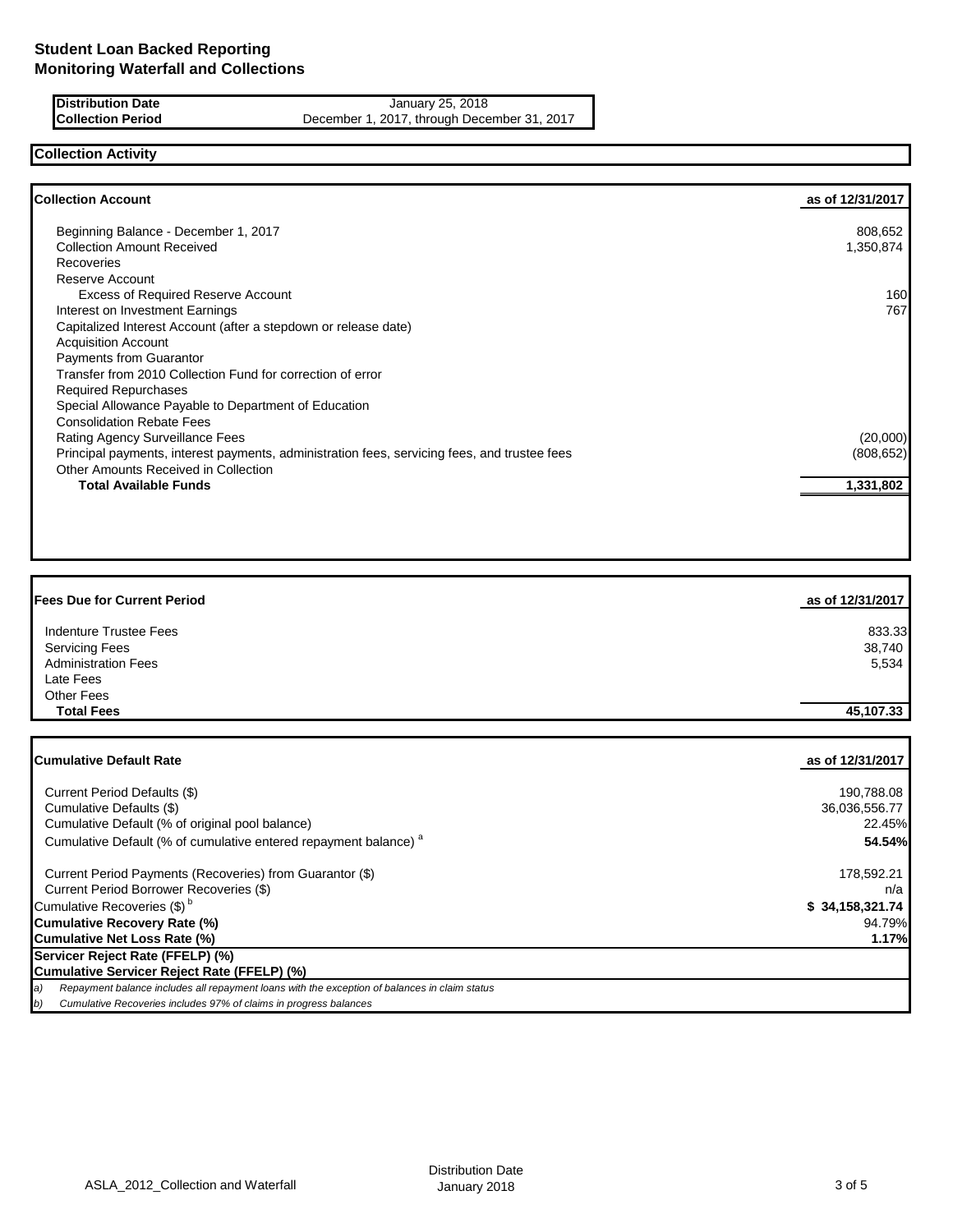**Distribution Date January 25, 2018 Collection Period** December 1, 2017, through December 31, 2017

# **Collection Activity**

| <b>Collection Account</b>                                                                    | as of 12/31/2017 |
|----------------------------------------------------------------------------------------------|------------------|
| Beginning Balance - December 1, 2017                                                         | 808,652          |
| <b>Collection Amount Received</b>                                                            | 1,350,874        |
| <b>Recoveries</b>                                                                            |                  |
| <b>Reserve Account</b>                                                                       |                  |
| <b>Excess of Required Reserve Account</b>                                                    | 160              |
| Interest on Investment Earnings                                                              | 767              |
| Capitalized Interest Account (after a stepdown or release date)                              |                  |
| <b>Acquisition Account</b>                                                                   |                  |
| <b>Payments from Guarantor</b>                                                               |                  |
| Transfer from 2010 Collection Fund for correction of error                                   |                  |
| <b>Required Repurchases</b>                                                                  |                  |
| Special Allowance Payable to Department of Education                                         |                  |
| <b>Consolidation Rebate Fees</b>                                                             |                  |
| Rating Agency Surveillance Fees                                                              | (20,000)         |
| Principal payments, interest payments, administration fees, servicing fees, and trustee fees | (808, 652)       |
| Other Amounts Received in Collection                                                         |                  |
| <b>Total Available Funds</b>                                                                 | 1,331,802        |

| <b>Fees Due for Current Period</b> | as of 12/31/2017 |
|------------------------------------|------------------|
| <b>Indenture Trustee Fees</b>      | 833.33           |
| <b>Servicing Fees</b>              | 38,740           |
| <b>Administration Fees</b>         | 5,534            |
| Late Fees                          |                  |
| Other Fees                         |                  |
| <b>Total Fees</b>                  | 45,107.33        |

| <b>ICumulative Default Rate</b>                                                                     | as of 12/31/2017 |
|-----------------------------------------------------------------------------------------------------|------------------|
| Current Period Defaults (\$)                                                                        | 190,788.08       |
| Cumulative Defaults (\$)                                                                            | 36,036,556.77    |
| Cumulative Default (% of original pool balance)                                                     | 22.45%           |
| Cumulative Default (% of cumulative entered repayment balance) <sup>a</sup>                         | 54.54%           |
| Current Period Payments (Recoveries) from Guarantor (\$)                                            | 178,592.21       |
| Current Period Borrower Recoveries (\$)                                                             | n/a              |
| Cumulative Recoveries (\$) <sup>b</sup>                                                             | \$34,158,321.74  |
| Cumulative Recovery Rate (%)                                                                        | 94.79%I          |
| Cumulative Net Loss Rate (%)                                                                        | 1.17%            |
| Servicer Reject Rate (FFELP) (%)                                                                    |                  |
| Cumulative Servicer Reject Rate (FFELP) (%)                                                         |                  |
| Repayment balance includes all repayment loans with the exception of balances in claim status<br>a) |                  |
| Cumulative Recoveries includes 97% of claims in progress balances<br>b)                             |                  |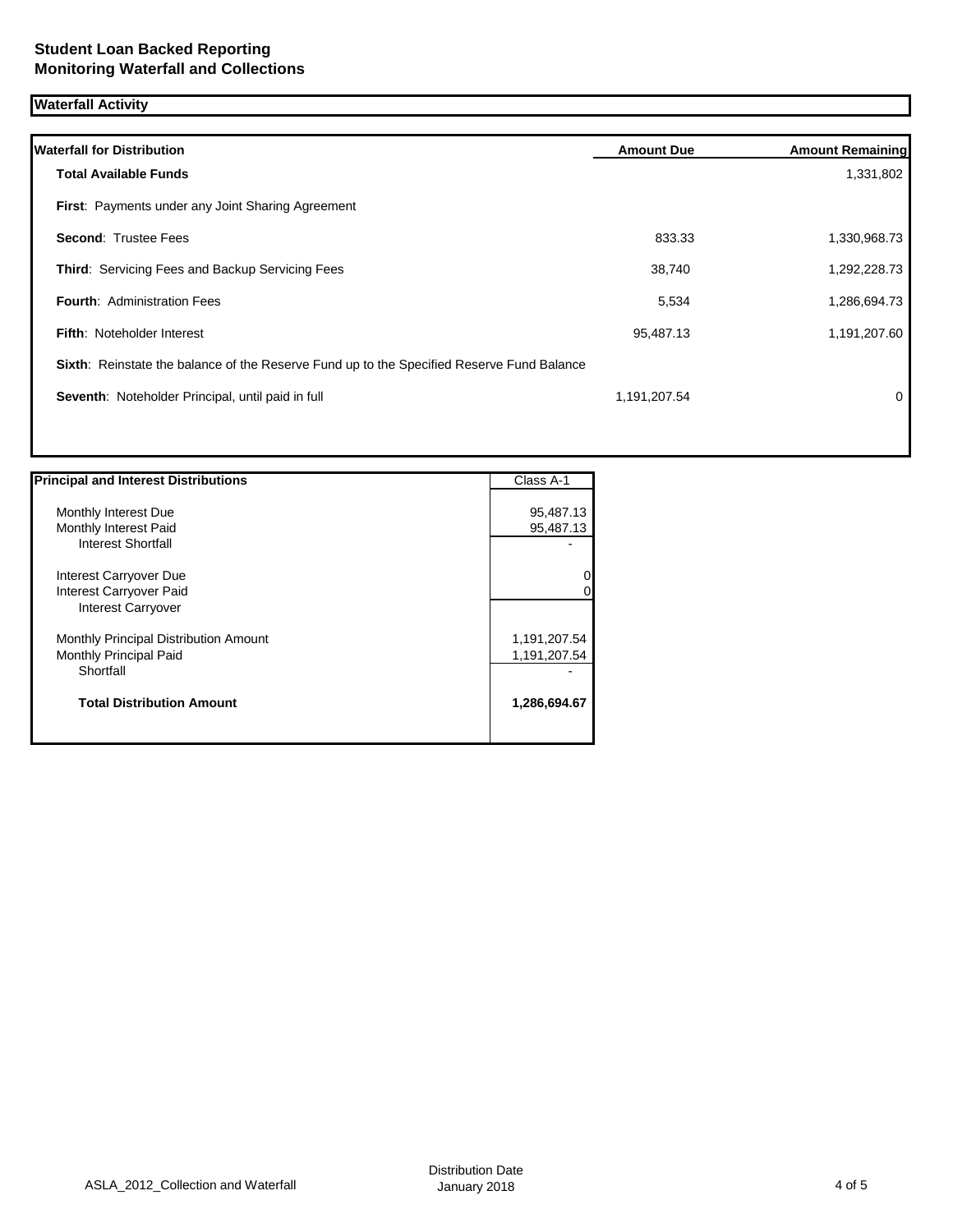# **Waterfall Activity**

| <b>Waterfall for Distribution</b>                                                         | <b>Amount Due</b> | <b>Amount Remaining</b> |
|-------------------------------------------------------------------------------------------|-------------------|-------------------------|
| Total Available Funds                                                                     |                   | 1,331,802               |
| <b>First: Payments under any Joint Sharing Agreement</b>                                  |                   |                         |
| <b>Second: Trustee Fees</b>                                                               | 833.33            | 1,330,968.73            |
| Third: Servicing Fees and Backup Servicing Fees                                           | 38,740            | 1,292,228.73            |
| <b>Fourth: Administration Fees</b>                                                        | 5,534             | 1,286,694.73            |
| <b>Fifth: Noteholder Interest</b>                                                         | 95,487.13         | 1,191,207.60            |
| Sixth: Reinstate the balance of the Reserve Fund up to the Specified Reserve Fund Balance |                   |                         |
| Seventh: Noteholder Principal, until paid in full                                         | 1,191,207.54      | 0                       |
|                                                                                           |                   |                         |

| <b>Principal and Interest Distributions</b> | Class A-1    |
|---------------------------------------------|--------------|
|                                             |              |
| Monthly Interest Due                        | 95,487.13    |
| Monthly Interest Paid                       | 95,487.13    |
| <b>Interest Shortfall</b>                   |              |
| Interest Carryover Due                      | 0            |
| Interest Carryover Paid                     | O            |
| Interest Carryover                          |              |
| Monthly Principal Distribution Amount       | 1,191,207.54 |
| Monthly Principal Paid                      | 1,191,207.54 |
| Shortfall                                   |              |
| <b>Total Distribution Amount</b>            | 1,286,694.67 |
|                                             |              |